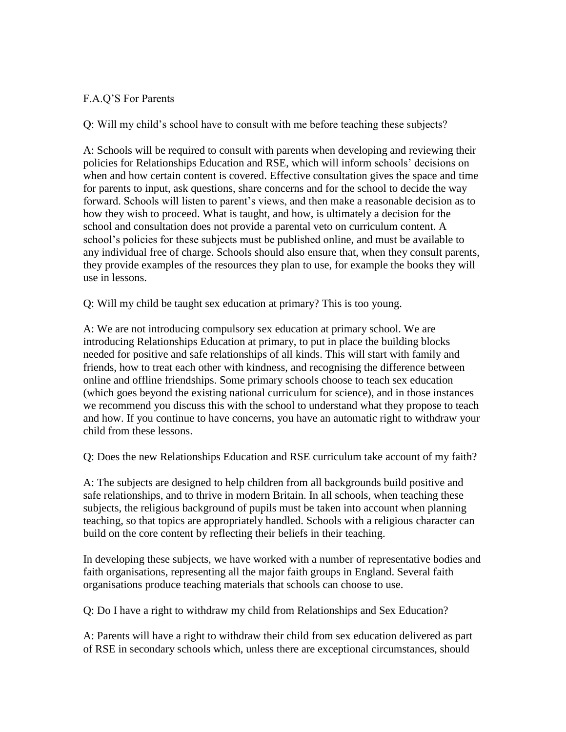## F.A.Q'S For Parents

Q: Will my child's school have to consult with me before teaching these subjects?

A: Schools will be required to consult with parents when developing and reviewing their policies for Relationships Education and RSE, which will inform schools' decisions on when and how certain content is covered. Effective consultation gives the space and time for parents to input, ask questions, share concerns and for the school to decide the way forward. Schools will listen to parent's views, and then make a reasonable decision as to how they wish to proceed. What is taught, and how, is ultimately a decision for the school and consultation does not provide a parental veto on curriculum content. A school's policies for these subjects must be published online, and must be available to any individual free of charge. Schools should also ensure that, when they consult parents, they provide examples of the resources they plan to use, for example the books they will use in lessons.

Q: Will my child be taught sex education at primary? This is too young.

A: We are not introducing compulsory sex education at primary school. We are introducing Relationships Education at primary, to put in place the building blocks needed for positive and safe relationships of all kinds. This will start with family and friends, how to treat each other with kindness, and recognising the difference between online and offline friendships. Some primary schools choose to teach sex education (which goes beyond the existing national curriculum for science), and in those instances we recommend you discuss this with the school to understand what they propose to teach and how. If you continue to have concerns, you have an automatic right to withdraw your child from these lessons.

Q: Does the new Relationships Education and RSE curriculum take account of my faith?

A: The subjects are designed to help children from all backgrounds build positive and safe relationships, and to thrive in modern Britain. In all schools, when teaching these subjects, the religious background of pupils must be taken into account when planning teaching, so that topics are appropriately handled. Schools with a religious character can build on the core content by reflecting their beliefs in their teaching.

In developing these subjects, we have worked with a number of representative bodies and faith organisations, representing all the major faith groups in England. Several faith organisations produce teaching materials that schools can choose to use.

Q: Do I have a right to withdraw my child from Relationships and Sex Education?

A: Parents will have a right to withdraw their child from sex education delivered as part of RSE in secondary schools which, unless there are exceptional circumstances, should